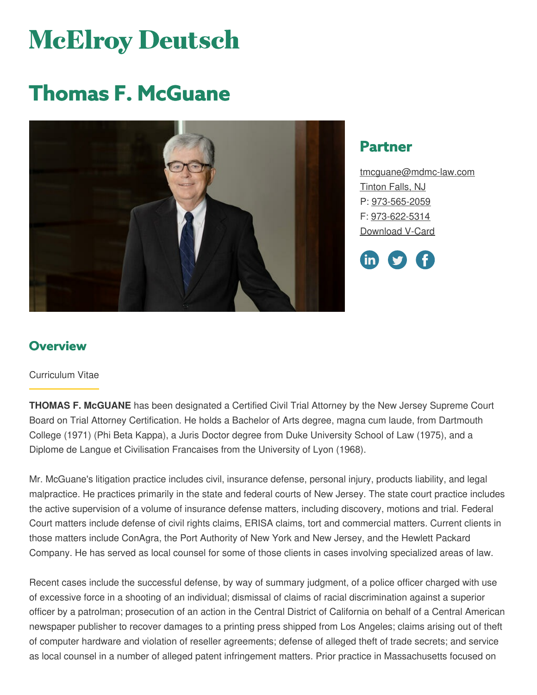# **McElroy Deutsch**

# **Thomas F. McGuane**



# **Partner**

[tmcguane@mdmc-law.com](mailto:tmcguane@mdmc-law.com) [Tinton](https://www.mdmc-law.com/offices/tinton-falls) Falls, NJ P: [973-565-2059](tel:973-565-2059) F: [973-622-5314](tel:973-622-5314) [Download](https://www.mdmc-law.com/node/166/vcard) V-Card



# **Overview**

#### Curriculum Vitae

**THOMAS F. McGUANE** has been designated a Certified Civil Trial Attorney by the New Jersey Supreme Court Board on Trial Attorney Certification. He holds a Bachelor of Arts degree, magna cum laude, from Dartmouth College (1971) (Phi Beta Kappa), a Juris Doctor degree from Duke University School of Law (1975), and a Diplome de Langue et Civilisation Francaises from the University of Lyon (1968).

Mr. McGuane's litigation practice includes civil, insurance defense, personal injury, products liability, and legal malpractice. He practices primarily in the state and federal courts of New Jersey. The state court practice includes the active supervision of a volume of insurance defense matters, including discovery, motions and trial. Federal Court matters include defense of civil rights claims, ERISA claims, tort and commercial matters. Current clients in those matters include ConAgra, the Port Authority of New York and New Jersey, and the Hewlett Packard Company. He has served as local counsel for some of those clients in cases involving specialized areas of law.

Recent cases include the successful defense, by way of summary judgment, of a police officer charged with use of excessive force in a shooting of an individual; dismissal of claims of racial discrimination against a superior officer by a patrolman; prosecution of an action in the Central District of California on behalf of a Central American newspaper publisher to recover damages to a printing press shipped from Los Angeles; claims arising out of theft of computer hardware and violation of reseller agreements; defense of alleged theft of trade secrets; and service as local counsel in a number of alleged patent infringement matters. Prior practice in Massachusetts focused on